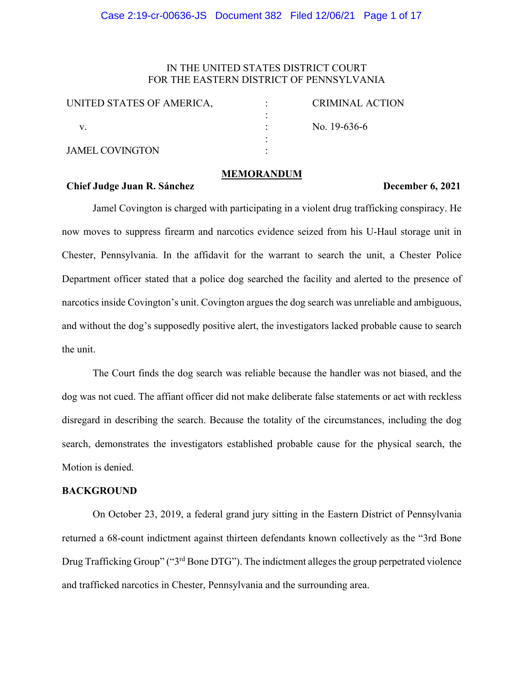## IN THE UNITED STATES DISTRICT COURT FOR THE EASTERN DISTRICT OF PENNSYLVANIA

| UNITED STATES OF AMERICA, | CRIMINAL ACTION |
|---------------------------|-----------------|
|                           |                 |
|                           | No. $19-636-6$  |
|                           |                 |
| JAMEL COVINGTON           |                 |

#### **MEMORANDUM**

### **Chief Judge Juan R. Sánchez December 6, 2021**

Jamel Covington is charged with participating in a violent drug trafficking conspiracy. He now moves to suppress firearm and narcotics evidence seized from his U-Haul storage unit in Chester, Pennsylvania. In the affidavit for the warrant to search the unit, a Chester Police Department officer stated that a police dog searched the facility and alerted to the presence of narcotics inside Covington's unit. Covington argues the dog search was unreliable and ambiguous, and without the dog's supposedly positive alert, the investigators lacked probable cause to search the unit.

The Court finds the dog search was reliable because the handler was not biased, and the dog was not cued. The affiant officer did not make deliberate false statements or act with reckless disregard in describing the search. Because the totality of the circumstances, including the dog search, demonstrates the investigators established probable cause for the physical search, the Motion is denied.

### **BACKGROUND**

On October 23, 2019, a federal grand jury sitting in the Eastern District of Pennsylvania returned a 68-count indictment against thirteen defendants known collectively as the "3rd Bone Drug Trafficking Group" ("3<sup>rd</sup> Bone DTG"). The indictment alleges the group perpetrated violence and trafficked narcotics in Chester, Pennsylvania and the surrounding area.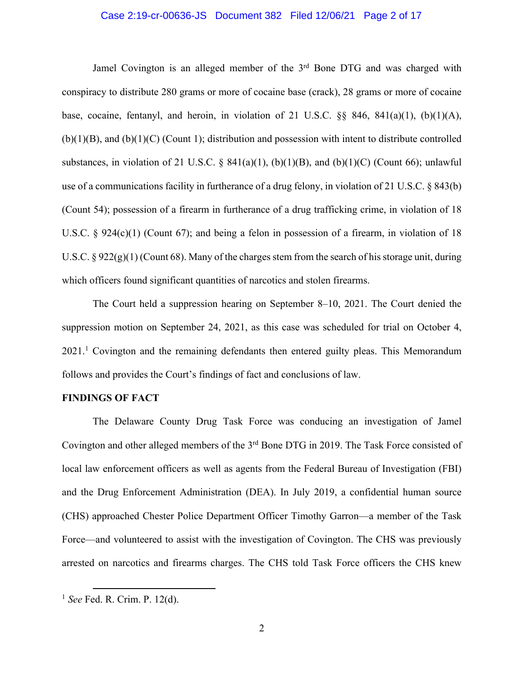#### Case 2:19-cr-00636-JS Document 382 Filed 12/06/21 Page 2 of 17

Jamel Covington is an alleged member of the 3<sup>rd</sup> Bone DTG and was charged with conspiracy to distribute 280 grams or more of cocaine base (crack), 28 grams or more of cocaine base, cocaine, fentanyl, and heroin, in violation of 21 U.S.C.  $\S$ § 846, 841(a)(1), (b)(1)(A),  $(b)(1)(B)$ , and  $(b)(1)(C)$  (Count 1); distribution and possession with intent to distribute controlled substances, in violation of 21 U.S.C. §  $841(a)(1)$ , (b)(1)(B), and (b)(1)(C) (Count 66); unlawful use of a communications facility in furtherance of a drug felony, in violation of 21 U.S.C. § 843(b) (Count 54); possession of a firearm in furtherance of a drug trafficking crime, in violation of 18 U.S.C. § 924(c)(1) (Count 67); and being a felon in possession of a firearm, in violation of 18 U.S.C. §  $922(g)(1)$  (Count 68). Many of the charges stem from the search of his storage unit, during which officers found significant quantities of narcotics and stolen firearms.

The Court held a suppression hearing on September 8–10, 2021. The Court denied the suppression motion on September 24, 2021, as this case was scheduled for trial on October 4, 2021.<sup>1</sup> Covington and the remaining defendants then entered guilty pleas. This Memorandum follows and provides the Court's findings of fact and conclusions of law.

### **FINDINGS OF FACT**

The Delaware County Drug Task Force was conducing an investigation of Jamel Covington and other alleged members of the 3<sup>rd</sup> Bone DTG in 2019. The Task Force consisted of local law enforcement officers as well as agents from the Federal Bureau of Investigation (FBI) and the Drug Enforcement Administration (DEA). In July 2019, a confidential human source (CHS) approached Chester Police Department Officer Timothy Garron—a member of the Task Force—and volunteered to assist with the investigation of Covington. The CHS was previously arrested on narcotics and firearms charges. The CHS told Task Force officers the CHS knew

<sup>1</sup> *See* Fed. R. Crim. P. 12(d).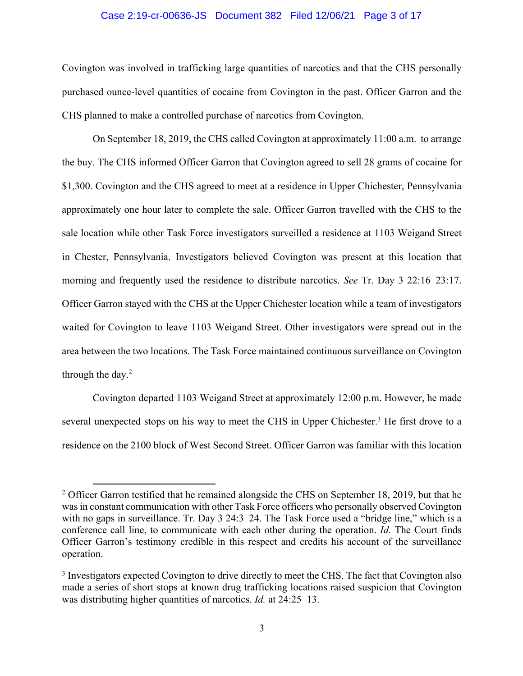#### Case 2:19-cr-00636-JS Document 382 Filed 12/06/21 Page 3 of 17

Covington was involved in trafficking large quantities of narcotics and that the CHS personally purchased ounce-level quantities of cocaine from Covington in the past. Officer Garron and the CHS planned to make a controlled purchase of narcotics from Covington.

On September 18, 2019, the CHS called Covington at approximately 11:00 a.m. to arrange the buy. The CHS informed Officer Garron that Covington agreed to sell 28 grams of cocaine for \$1,300. Covington and the CHS agreed to meet at a residence in Upper Chichester, Pennsylvania approximately one hour later to complete the sale. Officer Garron travelled with the CHS to the sale location while other Task Force investigators surveilled a residence at 1103 Weigand Street in Chester, Pennsylvania. Investigators believed Covington was present at this location that morning and frequently used the residence to distribute narcotics. *See* Tr. Day 3 22:16–23:17. Officer Garron stayed with the CHS at the Upper Chichester location while a team of investigators waited for Covington to leave 1103 Weigand Street. Other investigators were spread out in the area between the two locations. The Task Force maintained continuous surveillance on Covington through the day. 2

Covington departed 1103 Weigand Street at approximately 12:00 p.m. However, he made several unexpected stops on his way to meet the CHS in Upper Chichester.<sup>3</sup> He first drove to a residence on the 2100 block of West Second Street. Officer Garron was familiar with this location

 $2$  Officer Garron testified that he remained alongside the CHS on September 18, 2019, but that he was in constant communication with other Task Force officers who personally observed Covington with no gaps in surveillance. Tr. Day 3 24:3–24. The Task Force used a "bridge line," which is a conference call line, to communicate with each other during the operation. *Id.* The Court finds Officer Garron's testimony credible in this respect and credits his account of the surveillance operation.

<sup>&</sup>lt;sup>3</sup> Investigators expected Covington to drive directly to meet the CHS. The fact that Covington also made a series of short stops at known drug trafficking locations raised suspicion that Covington was distributing higher quantities of narcotics. *Id.* at 24:25–13.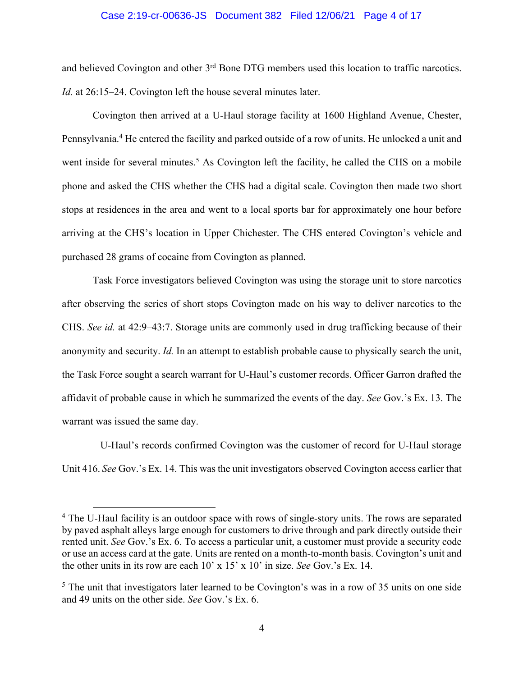#### Case 2:19-cr-00636-JS Document 382 Filed 12/06/21 Page 4 of 17

and believed Covington and other 3<sup>rd</sup> Bone DTG members used this location to traffic narcotics. *Id.* at 26:15–24. Covington left the house several minutes later.

Covington then arrived at a U-Haul storage facility at 1600 Highland Avenue, Chester, Pennsylvania. <sup>4</sup> He entered the facility and parked outside of a row of units. He unlocked a unit and went inside for several minutes.<sup>5</sup> As Covington left the facility, he called the CHS on a mobile phone and asked the CHS whether the CHS had a digital scale. Covington then made two short stops at residences in the area and went to a local sports bar for approximately one hour before arriving at the CHS's location in Upper Chichester. The CHS entered Covington's vehicle and purchased 28 grams of cocaine from Covington as planned.

Task Force investigators believed Covington was using the storage unit to store narcotics after observing the series of short stops Covington made on his way to deliver narcotics to the CHS. *See id.* at 42:9–43:7. Storage units are commonly used in drug trafficking because of their anonymity and security. *Id.* In an attempt to establish probable cause to physically search the unit, the Task Force sought a search warrant for U-Haul's customer records. Officer Garron drafted the affidavit of probable cause in which he summarized the events of the day. *See* Gov.'s Ex. 13. The warrant was issued the same day.

U-Haul's records confirmed Covington was the customer of record for U-Haul storage Unit 416. *See* Gov.'s Ex. 14. This was the unit investigators observed Covington access earlier that

<sup>&</sup>lt;sup>4</sup> The U-Haul facility is an outdoor space with rows of single-story units. The rows are separated by paved asphalt alleys large enough for customers to drive through and park directly outside their rented unit. *See* Gov.'s Ex. 6. To access a particular unit, a customer must provide a security code or use an access card at the gate. Units are rented on a month-to-month basis. Covington's unit and the other units in its row are each 10' x 15' x 10' in size. *See* Gov.'s Ex. 14.

<sup>&</sup>lt;sup>5</sup> The unit that investigators later learned to be Covington's was in a row of 35 units on one side and 49 units on the other side. *See* Gov.'s Ex. 6.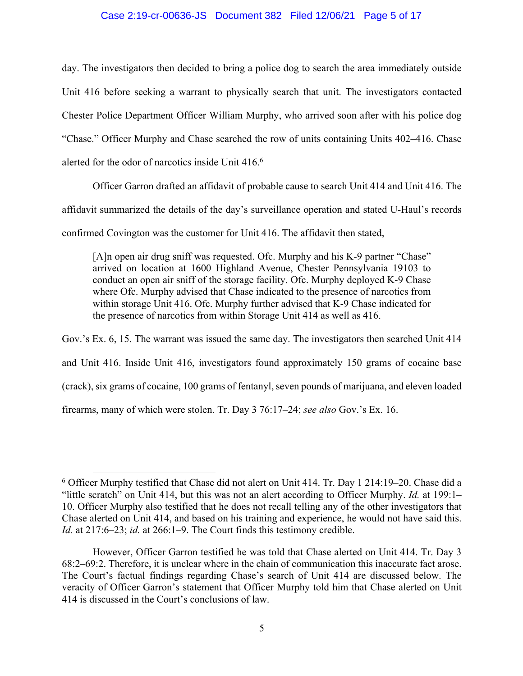#### Case 2:19-cr-00636-JS Document 382 Filed 12/06/21 Page 5 of 17

day. The investigators then decided to bring a police dog to search the area immediately outside Unit 416 before seeking a warrant to physically search that unit. The investigators contacted Chester Police Department Officer William Murphy, who arrived soon after with his police dog "Chase." Officer Murphy and Chase searched the row of units containing Units 402–416. Chase alerted for the odor of narcotics inside Unit 416.6

Officer Garron drafted an affidavit of probable cause to search Unit 414 and Unit 416. The affidavit summarized the details of the day's surveillance operation and stated U-Haul's records confirmed Covington was the customer for Unit 416. The affidavit then stated,

[A]n open air drug sniff was requested. Ofc. Murphy and his K-9 partner "Chase" arrived on location at 1600 Highland Avenue, Chester Pennsylvania 19103 to conduct an open air sniff of the storage facility. Ofc. Murphy deployed K-9 Chase where Ofc. Murphy advised that Chase indicated to the presence of narcotics from within storage Unit 416. Ofc. Murphy further advised that K-9 Chase indicated for the presence of narcotics from within Storage Unit 414 as well as 416.

Gov.'s Ex. 6, 15. The warrant was issued the same day. The investigators then searched Unit 414 and Unit 416. Inside Unit 416, investigators found approximately 150 grams of cocaine base (crack), six grams of cocaine, 100 grams of fentanyl, seven pounds of marijuana, and eleven loaded firearms, many of which were stolen. Tr. Day 3 76:17–24; *see also* Gov.'s Ex. 16.

<sup>6</sup> Officer Murphy testified that Chase did not alert on Unit 414. Tr. Day 1 214:19–20. Chase did a "little scratch" on Unit 414, but this was not an alert according to Officer Murphy. *Id.* at 199:1– 10. Officer Murphy also testified that he does not recall telling any of the other investigators that Chase alerted on Unit 414, and based on his training and experience, he would not have said this. *Id.* at 217:6–23; *id.* at 266:1–9. The Court finds this testimony credible.

However, Officer Garron testified he was told that Chase alerted on Unit 414. Tr. Day 3 68:2–69:2. Therefore, it is unclear where in the chain of communication this inaccurate fact arose. The Court's factual findings regarding Chase's search of Unit 414 are discussed below. The veracity of Officer Garron's statement that Officer Murphy told him that Chase alerted on Unit 414 is discussed in the Court's conclusions of law.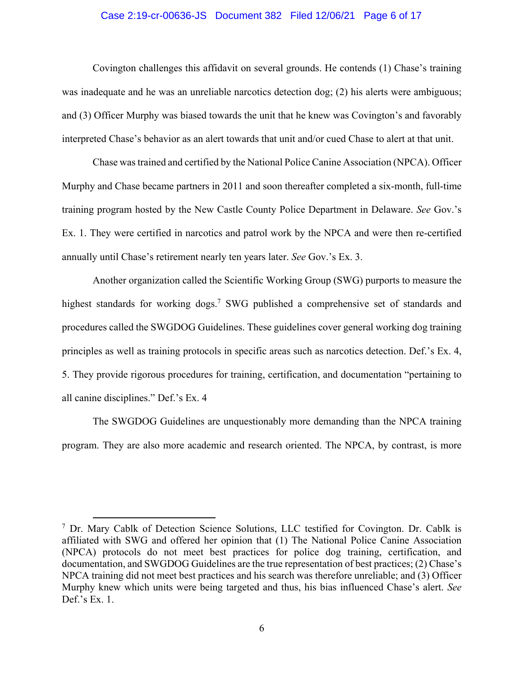#### Case 2:19-cr-00636-JS Document 382 Filed 12/06/21 Page 6 of 17

Covington challenges this affidavit on several grounds. He contends (1) Chase's training was inadequate and he was an unreliable narcotics detection dog; (2) his alerts were ambiguous; and (3) Officer Murphy was biased towards the unit that he knew was Covington's and favorably interpreted Chase's behavior as an alert towards that unit and/or cued Chase to alert at that unit.

Chase was trained and certified by the National Police Canine Association (NPCA). Officer Murphy and Chase became partners in 2011 and soon thereafter completed a six-month, full-time training program hosted by the New Castle County Police Department in Delaware. *See* Gov.'s Ex. 1. They were certified in narcotics and patrol work by the NPCA and were then re-certified annually until Chase's retirement nearly ten years later. *See* Gov.'s Ex. 3.

Another organization called the Scientific Working Group (SWG) purports to measure the highest standards for working dogs.<sup>7</sup> SWG published a comprehensive set of standards and procedures called the SWGDOG Guidelines. These guidelines cover general working dog training principles as well as training protocols in specific areas such as narcotics detection. Def.'s Ex. 4, 5. They provide rigorous procedures for training, certification, and documentation "pertaining to all canine disciplines." Def.'s Ex. 4

The SWGDOG Guidelines are unquestionably more demanding than the NPCA training program. They are also more academic and research oriented. The NPCA, by contrast, is more

<sup>7</sup> Dr. Mary Cablk of Detection Science Solutions, LLC testified for Covington. Dr. Cablk is affiliated with SWG and offered her opinion that (1) The National Police Canine Association (NPCA) protocols do not meet best practices for police dog training, certification, and documentation, and SWGDOG Guidelines are the true representation of best practices; (2) Chase's NPCA training did not meet best practices and his search was therefore unreliable; and (3) Officer Murphy knew which units were being targeted and thus, his bias influenced Chase's alert. *See*  Def.'s Ex. 1.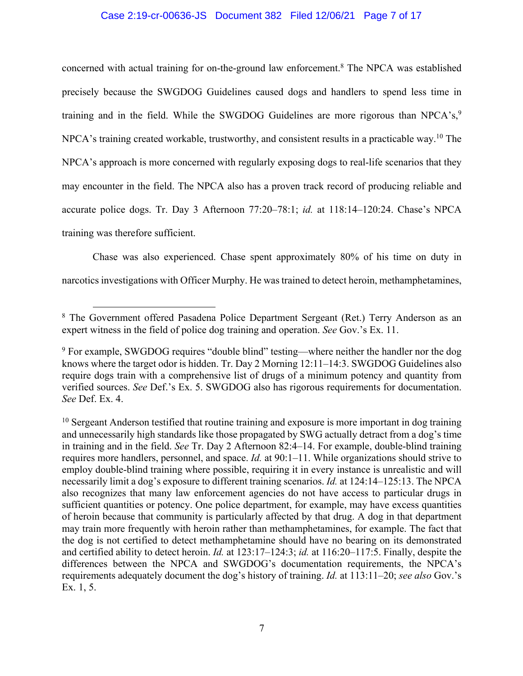### Case 2:19-cr-00636-JS Document 382 Filed 12/06/21 Page 7 of 17

concerned with actual training for on-the-ground law enforcement.8 The NPCA was established precisely because the SWGDOG Guidelines caused dogs and handlers to spend less time in training and in the field. While the SWGDOG Guidelines are more rigorous than NPCA's,<sup>9</sup> NPCA's training created workable, trustworthy, and consistent results in a practicable way.10 The NPCA's approach is more concerned with regularly exposing dogs to real-life scenarios that they may encounter in the field. The NPCA also has a proven track record of producing reliable and accurate police dogs. Tr. Day 3 Afternoon 77:20–78:1; *id.* at 118:14–120:24. Chase's NPCA training was therefore sufficient.

Chase was also experienced. Chase spent approximately 80% of his time on duty in narcotics investigations with Officer Murphy. He was trained to detect heroin, methamphetamines,

<sup>8</sup> The Government offered Pasadena Police Department Sergeant (Ret.) Terry Anderson as an expert witness in the field of police dog training and operation. *See* Gov.'s Ex. 11.

<sup>9</sup> For example, SWGDOG requires "double blind" testing—where neither the handler nor the dog knows where the target odor is hidden. Tr. Day 2 Morning 12:11–14:3. SWGDOG Guidelines also require dogs train with a comprehensive list of drugs of a minimum potency and quantity from verified sources. *See* Def.'s Ex. 5. SWGDOG also has rigorous requirements for documentation. *See* Def. Ex. 4.

 $10$  Sergeant Anderson testified that routine training and exposure is more important in dog training and unnecessarily high standards like those propagated by SWG actually detract from a dog's time in training and in the field. *See* Tr. Day 2 Afternoon 82:4–14. For example, double-blind training requires more handlers, personnel, and space. *Id.* at 90:1–11. While organizations should strive to employ double-blind training where possible, requiring it in every instance is unrealistic and will necessarily limit a dog's exposure to different training scenarios. *Id.* at 124:14–125:13. The NPCA also recognizes that many law enforcement agencies do not have access to particular drugs in sufficient quantities or potency. One police department, for example, may have excess quantities of heroin because that community is particularly affected by that drug. A dog in that department may train more frequently with heroin rather than methamphetamines, for example. The fact that the dog is not certified to detect methamphetamine should have no bearing on its demonstrated and certified ability to detect heroin. *Id.* at 123:17–124:3; *id.* at 116:20–117:5. Finally, despite the differences between the NPCA and SWGDOG's documentation requirements, the NPCA's requirements adequately document the dog's history of training. *Id.* at 113:11–20; *see also* Gov.'s Ex. 1, 5.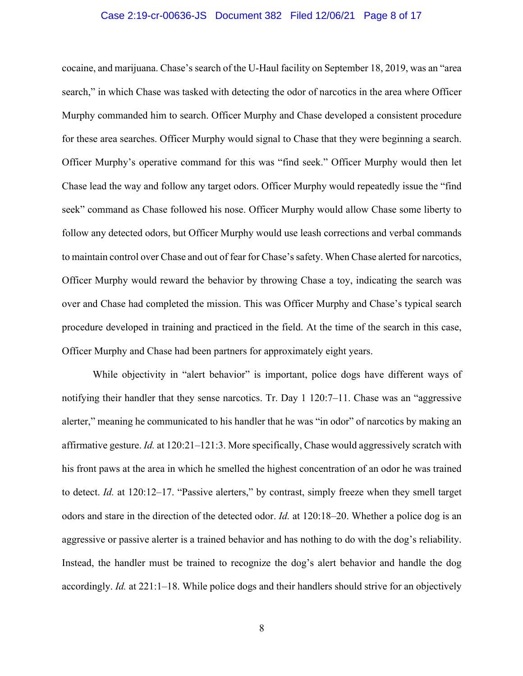#### Case 2:19-cr-00636-JS Document 382 Filed 12/06/21 Page 8 of 17

cocaine, and marijuana. Chase's search of the U-Haul facility on September 18, 2019, was an "area search," in which Chase was tasked with detecting the odor of narcotics in the area where Officer Murphy commanded him to search. Officer Murphy and Chase developed a consistent procedure for these area searches. Officer Murphy would signal to Chase that they were beginning a search. Officer Murphy's operative command for this was "find seek." Officer Murphy would then let Chase lead the way and follow any target odors. Officer Murphy would repeatedly issue the "find seek" command as Chase followed his nose. Officer Murphy would allow Chase some liberty to follow any detected odors, but Officer Murphy would use leash corrections and verbal commands to maintain control over Chase and out of fear for Chase's safety. When Chase alerted for narcotics, Officer Murphy would reward the behavior by throwing Chase a toy, indicating the search was over and Chase had completed the mission. This was Officer Murphy and Chase's typical search procedure developed in training and practiced in the field. At the time of the search in this case, Officer Murphy and Chase had been partners for approximately eight years.

While objectivity in "alert behavior" is important, police dogs have different ways of notifying their handler that they sense narcotics. Tr. Day 1 120:7–11. Chase was an "aggressive alerter," meaning he communicated to his handler that he was "in odor" of narcotics by making an affirmative gesture. *Id.* at 120:21–121:3. More specifically, Chase would aggressively scratch with his front paws at the area in which he smelled the highest concentration of an odor he was trained to detect. *Id.* at 120:12–17. "Passive alerters," by contrast, simply freeze when they smell target odors and stare in the direction of the detected odor. *Id.* at 120:18–20. Whether a police dog is an aggressive or passive alerter is a trained behavior and has nothing to do with the dog's reliability. Instead, the handler must be trained to recognize the dog's alert behavior and handle the dog accordingly. *Id.* at 221:1–18. While police dogs and their handlers should strive for an objectively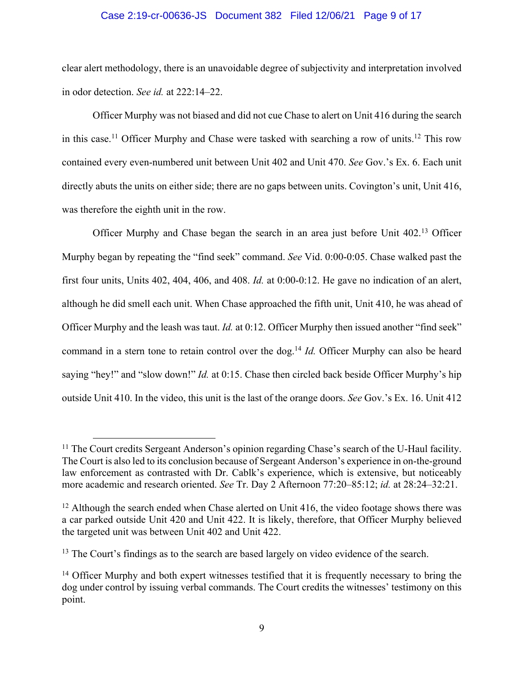#### Case 2:19-cr-00636-JS Document 382 Filed 12/06/21 Page 9 of 17

clear alert methodology, there is an unavoidable degree of subjectivity and interpretation involved in odor detection. *See id.* at 222:14–22.

Officer Murphy was not biased and did not cue Chase to alert on Unit 416 during the search in this case.<sup>11</sup> Officer Murphy and Chase were tasked with searching a row of units.<sup>12</sup> This row contained every even-numbered unit between Unit 402 and Unit 470. *See* Gov.'s Ex. 6. Each unit directly abuts the units on either side; there are no gaps between units. Covington's unit, Unit 416, was therefore the eighth unit in the row.

Officer Murphy and Chase began the search in an area just before Unit 402.<sup>13</sup> Officer Murphy began by repeating the "find seek" command. *See* Vid. 0:00-0:05. Chase walked past the first four units, Units 402, 404, 406, and 408. *Id.* at 0:00-0:12. He gave no indication of an alert, although he did smell each unit. When Chase approached the fifth unit, Unit 410, he was ahead of Officer Murphy and the leash was taut. *Id.* at 0:12. Officer Murphy then issued another "find seek" command in a stern tone to retain control over the dog.<sup>14</sup> *Id.* Officer Murphy can also be heard saying "hey!" and "slow down!" *Id.* at 0:15. Chase then circled back beside Officer Murphy's hip outside Unit 410. In the video, this unit is the last of the orange doors. *See* Gov.'s Ex. 16. Unit 412

<sup>&</sup>lt;sup>11</sup> The Court credits Sergeant Anderson's opinion regarding Chase's search of the U-Haul facility. The Court is also led to its conclusion because of Sergeant Anderson's experience in on-the-ground law enforcement as contrasted with Dr. Cablk's experience, which is extensive, but noticeably more academic and research oriented. *See* Tr. Day 2 Afternoon 77:20–85:12; *id.* at 28:24–32:21.

 $12$  Although the search ended when Chase alerted on Unit 416, the video footage shows there was a car parked outside Unit 420 and Unit 422. It is likely, therefore, that Officer Murphy believed the targeted unit was between Unit 402 and Unit 422.

<sup>&</sup>lt;sup>13</sup> The Court's findings as to the search are based largely on video evidence of the search.

<sup>&</sup>lt;sup>14</sup> Officer Murphy and both expert witnesses testified that it is frequently necessary to bring the dog under control by issuing verbal commands. The Court credits the witnesses' testimony on this point.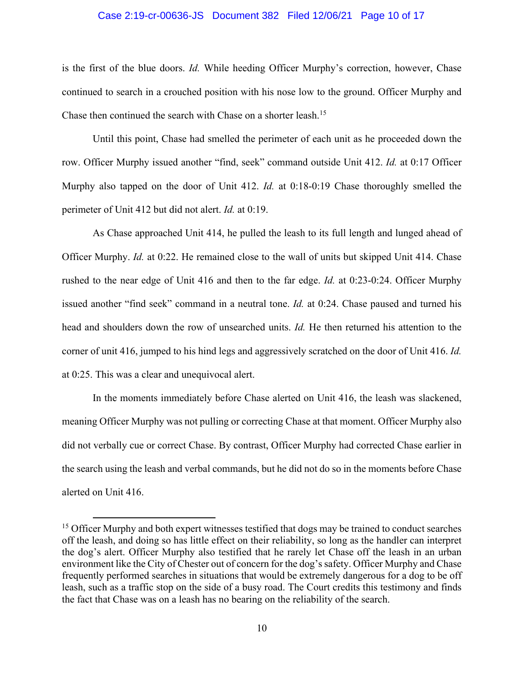#### Case 2:19-cr-00636-JS Document 382 Filed 12/06/21 Page 10 of 17

is the first of the blue doors. *Id.* While heeding Officer Murphy's correction, however, Chase continued to search in a crouched position with his nose low to the ground. Officer Murphy and Chase then continued the search with Chase on a shorter leash.15

Until this point, Chase had smelled the perimeter of each unit as he proceeded down the row. Officer Murphy issued another "find, seek" command outside Unit 412. *Id.* at 0:17 Officer Murphy also tapped on the door of Unit 412. *Id.* at 0:18-0:19 Chase thoroughly smelled the perimeter of Unit 412 but did not alert. *Id.* at 0:19.

As Chase approached Unit 414, he pulled the leash to its full length and lunged ahead of Officer Murphy. *Id.* at 0:22. He remained close to the wall of units but skipped Unit 414. Chase rushed to the near edge of Unit 416 and then to the far edge. *Id.* at 0:23-0:24. Officer Murphy issued another "find seek" command in a neutral tone. *Id.* at 0:24. Chase paused and turned his head and shoulders down the row of unsearched units. *Id.* He then returned his attention to the corner of unit 416, jumped to his hind legs and aggressively scratched on the door of Unit 416. *Id.* at 0:25. This was a clear and unequivocal alert.

In the moments immediately before Chase alerted on Unit 416, the leash was slackened, meaning Officer Murphy was not pulling or correcting Chase at that moment. Officer Murphy also did not verbally cue or correct Chase. By contrast, Officer Murphy had corrected Chase earlier in the search using the leash and verbal commands, but he did not do so in the moments before Chase alerted on Unit 416.

<sup>&</sup>lt;sup>15</sup> Officer Murphy and both expert witnesses testified that dogs may be trained to conduct searches off the leash, and doing so has little effect on their reliability, so long as the handler can interpret the dog's alert. Officer Murphy also testified that he rarely let Chase off the leash in an urban environment like the City of Chester out of concern for the dog's safety. Officer Murphy and Chase frequently performed searches in situations that would be extremely dangerous for a dog to be off leash, such as a traffic stop on the side of a busy road. The Court credits this testimony and finds the fact that Chase was on a leash has no bearing on the reliability of the search.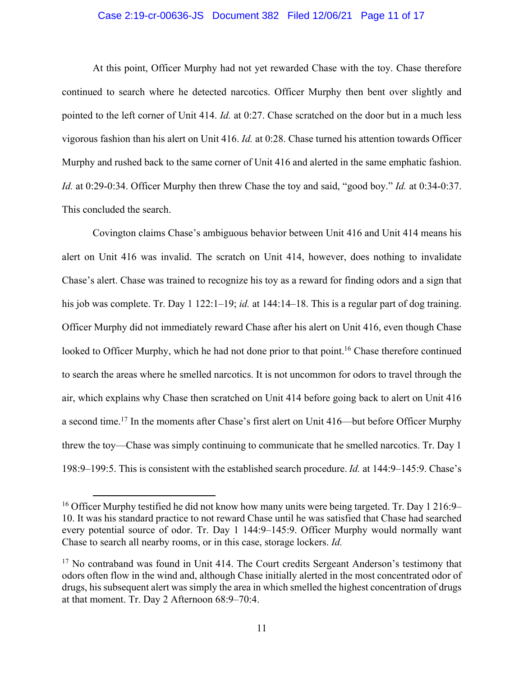#### Case 2:19-cr-00636-JS Document 382 Filed 12/06/21 Page 11 of 17

At this point, Officer Murphy had not yet rewarded Chase with the toy. Chase therefore continued to search where he detected narcotics. Officer Murphy then bent over slightly and pointed to the left corner of Unit 414. *Id.* at 0:27. Chase scratched on the door but in a much less vigorous fashion than his alert on Unit 416. *Id.* at 0:28. Chase turned his attention towards Officer Murphy and rushed back to the same corner of Unit 416 and alerted in the same emphatic fashion. *Id.* at 0:29-0:34. Officer Murphy then threw Chase the toy and said, "good boy." *Id.* at 0:34-0:37. This concluded the search.

Covington claims Chase's ambiguous behavior between Unit 416 and Unit 414 means his alert on Unit 416 was invalid. The scratch on Unit 414, however, does nothing to invalidate Chase's alert. Chase was trained to recognize his toy as a reward for finding odors and a sign that his job was complete. Tr. Day 1 122:1–19; *id.* at 144:14–18. This is a regular part of dog training. Officer Murphy did not immediately reward Chase after his alert on Unit 416, even though Chase looked to Officer Murphy, which he had not done prior to that point.<sup>16</sup> Chase therefore continued to search the areas where he smelled narcotics. It is not uncommon for odors to travel through the air, which explains why Chase then scratched on Unit 414 before going back to alert on Unit 416 a second time.17 In the moments after Chase's first alert on Unit 416—but before Officer Murphy threw the toy—Chase was simply continuing to communicate that he smelled narcotics. Tr. Day 1 198:9–199:5. This is consistent with the established search procedure. *Id.* at 144:9–145:9. Chase's

<sup>&</sup>lt;sup>16</sup> Officer Murphy testified he did not know how many units were being targeted. Tr. Day 1 216:9– 10. It was his standard practice to not reward Chase until he was satisfied that Chase had searched every potential source of odor. Tr. Day 1 144:9–145:9. Officer Murphy would normally want Chase to search all nearby rooms, or in this case, storage lockers. *Id.*

<sup>&</sup>lt;sup>17</sup> No contraband was found in Unit 414. The Court credits Sergeant Anderson's testimony that odors often flow in the wind and, although Chase initially alerted in the most concentrated odor of drugs, his subsequent alert was simply the area in which smelled the highest concentration of drugs at that moment. Tr. Day 2 Afternoon 68:9–70:4.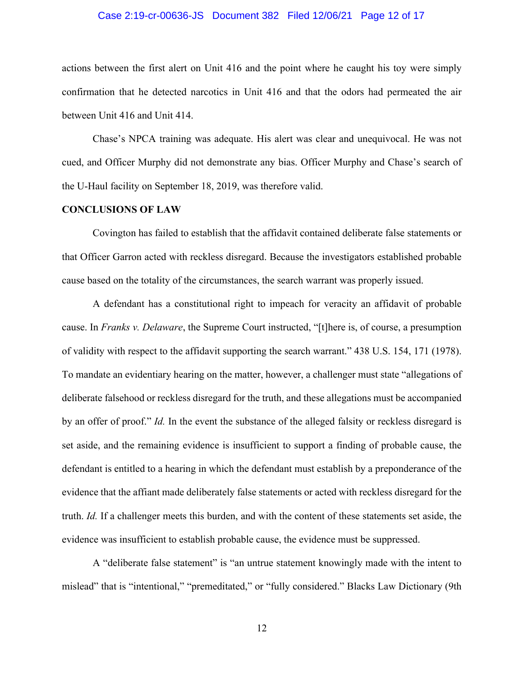#### Case 2:19-cr-00636-JS Document 382 Filed 12/06/21 Page 12 of 17

actions between the first alert on Unit 416 and the point where he caught his toy were simply confirmation that he detected narcotics in Unit 416 and that the odors had permeated the air between Unit 416 and Unit 414.

Chase's NPCA training was adequate. His alert was clear and unequivocal. He was not cued, and Officer Murphy did not demonstrate any bias. Officer Murphy and Chase's search of the U-Haul facility on September 18, 2019, was therefore valid.

#### **CONCLUSIONS OF LAW**

Covington has failed to establish that the affidavit contained deliberate false statements or that Officer Garron acted with reckless disregard. Because the investigators established probable cause based on the totality of the circumstances, the search warrant was properly issued.

A defendant has a constitutional right to impeach for veracity an affidavit of probable cause. In *Franks v. Delaware*, the Supreme Court instructed, "[t]here is, of course, a presumption of validity with respect to the affidavit supporting the search warrant." 438 U.S. 154, 171 (1978). To mandate an evidentiary hearing on the matter, however, a challenger must state "allegations of deliberate falsehood or reckless disregard for the truth, and these allegations must be accompanied by an offer of proof." *Id.* In the event the substance of the alleged falsity or reckless disregard is set aside, and the remaining evidence is insufficient to support a finding of probable cause, the defendant is entitled to a hearing in which the defendant must establish by a preponderance of the evidence that the affiant made deliberately false statements or acted with reckless disregard for the truth. *Id.* If a challenger meets this burden, and with the content of these statements set aside, the evidence was insufficient to establish probable cause, the evidence must be suppressed.

A "deliberate false statement" is "an untrue statement knowingly made with the intent to mislead" that is "intentional," "premeditated," or "fully considered." Blacks Law Dictionary (9th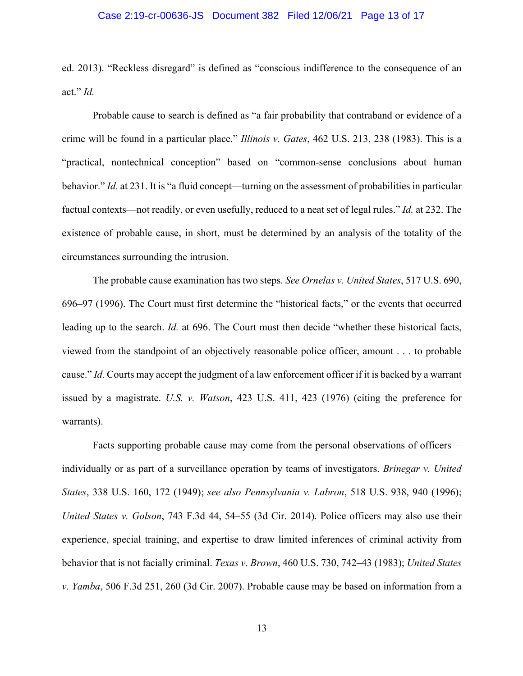#### Case 2:19-cr-00636-JS Document 382 Filed 12/06/21 Page 13 of 17

ed. 2013). "Reckless disregard" is defined as "conscious indifference to the consequence of an act." *Id.*

Probable cause to search is defined as "a fair probability that contraband or evidence of a crime will be found in a particular place." *Illinois v. Gates*, 462 U.S. 213, 238 (1983). This is a "practical, nontechnical conception" based on "common-sense conclusions about human behavior." *Id.* at 231. It is "a fluid concept—turning on the assessment of probabilities in particular factual contexts—not readily, or even usefully, reduced to a neat set of legal rules." *Id.* at 232. The existence of probable cause, in short, must be determined by an analysis of the totality of the circumstances surrounding the intrusion.

The probable cause examination has two steps. *See Ornelas v. United States*, 517 U.S. 690, 696–97 (1996). The Court must first determine the "historical facts," or the events that occurred leading up to the search. *Id.* at 696. The Court must then decide "whether these historical facts, viewed from the standpoint of an objectively reasonable police officer, amount . . . to probable cause." *Id.* Courts may accept the judgment of a law enforcement officer if it is backed by a warrant issued by a magistrate. *U.S. v. Watson*, 423 U.S. 411, 423 (1976) (citing the preference for warrants).

Facts supporting probable cause may come from the personal observations of officers individually or as part of a surveillance operation by teams of investigators. *Brinegar v. United States*, 338 U.S. 160, 172 (1949); *see also Pennsylvania v. Labron*, 518 U.S. 938, 940 (1996); *United States v. Golson*, 743 F.3d 44, 54–55 (3d Cir. 2014). Police officers may also use their experience, special training, and expertise to draw limited inferences of criminal activity from behavior that is not facially criminal. *Texas v. Brown*, 460 U.S. 730, 742–43 (1983); *United States v. Yamba*, 506 F.3d 251, 260 (3d Cir. 2007). Probable cause may be based on information from a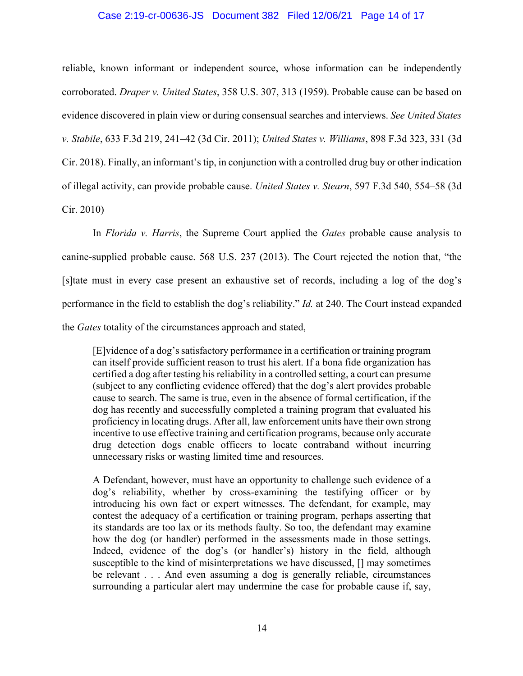#### Case 2:19-cr-00636-JS Document 382 Filed 12/06/21 Page 14 of 17

reliable, known informant or independent source, whose information can be independently corroborated. *Draper v. United States*, 358 U.S. 307, 313 (1959). Probable cause can be based on evidence discovered in plain view or during consensual searches and interviews. *See United States v. Stabile*, 633 F.3d 219, 241–42 (3d Cir. 2011); *United States v. Williams*, 898 F.3d 323, 331 (3d Cir. 2018). Finally, an informant's tip, in conjunction with a controlled drug buy or other indication of illegal activity, can provide probable cause. *United States v. Stearn*, 597 F.3d 540, 554–58 (3d Cir. 2010)

In *Florida v. Harris*, the Supreme Court applied the *Gates* probable cause analysis to canine-supplied probable cause. 568 U.S. 237 (2013). The Court rejected the notion that, "the [s]tate must in every case present an exhaustive set of records, including a log of the dog's performance in the field to establish the dog's reliability." *Id.* at 240. The Court instead expanded the *Gates* totality of the circumstances approach and stated,

[E]vidence of a dog's satisfactory performance in a certification or training program can itself provide sufficient reason to trust his alert. If a bona fide organization has certified a dog after testing his reliability in a controlled setting, a court can presume (subject to any conflicting evidence offered) that the dog's alert provides probable cause to search. The same is true, even in the absence of formal certification, if the dog has recently and successfully completed a training program that evaluated his proficiency in locating drugs. After all, law enforcement units have their own strong incentive to use effective training and certification programs, because only accurate drug detection dogs enable officers to locate contraband without incurring unnecessary risks or wasting limited time and resources.

A Defendant, however, must have an opportunity to challenge such evidence of a dog's reliability, whether by cross-examining the testifying officer or by introducing his own fact or expert witnesses. The defendant, for example, may contest the adequacy of a certification or training program, perhaps asserting that its standards are too lax or its methods faulty. So too, the defendant may examine how the dog (or handler) performed in the assessments made in those settings. Indeed, evidence of the dog's (or handler's) history in the field, although susceptible to the kind of misinterpretations we have discussed, [] may sometimes be relevant . . . And even assuming a dog is generally reliable, circumstances surrounding a particular alert may undermine the case for probable cause if, say,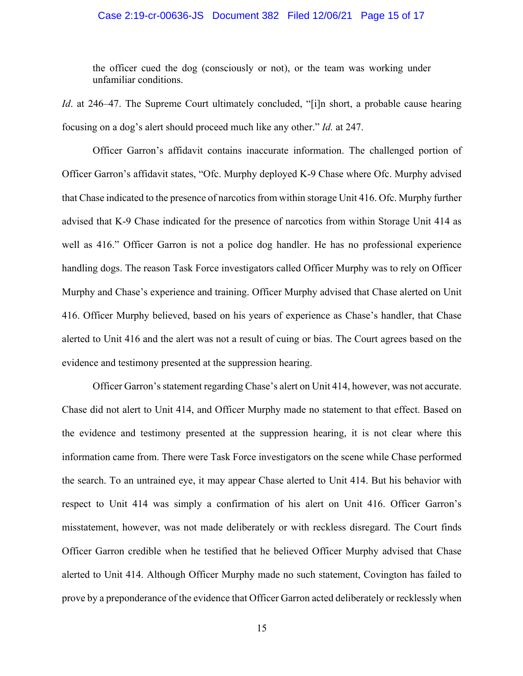#### Case 2:19-cr-00636-JS Document 382 Filed 12/06/21 Page 15 of 17

the officer cued the dog (consciously or not), or the team was working under unfamiliar conditions.

*Id.* at 246–47. The Supreme Court ultimately concluded, "[i]n short, a probable cause hearing focusing on a dog's alert should proceed much like any other." *Id.* at 247.

Officer Garron's affidavit contains inaccurate information. The challenged portion of Officer Garron's affidavit states, "Ofc. Murphy deployed K-9 Chase where Ofc. Murphy advised that Chase indicated to the presence of narcotics from within storage Unit 416. Ofc. Murphy further advised that K-9 Chase indicated for the presence of narcotics from within Storage Unit 414 as well as 416." Officer Garron is not a police dog handler. He has no professional experience handling dogs. The reason Task Force investigators called Officer Murphy was to rely on Officer Murphy and Chase's experience and training. Officer Murphy advised that Chase alerted on Unit 416. Officer Murphy believed, based on his years of experience as Chase's handler, that Chase alerted to Unit 416 and the alert was not a result of cuing or bias. The Court agrees based on the evidence and testimony presented at the suppression hearing.

Officer Garron's statement regarding Chase's alert on Unit 414, however, was not accurate. Chase did not alert to Unit 414, and Officer Murphy made no statement to that effect. Based on the evidence and testimony presented at the suppression hearing, it is not clear where this information came from. There were Task Force investigators on the scene while Chase performed the search. To an untrained eye, it may appear Chase alerted to Unit 414. But his behavior with respect to Unit 414 was simply a confirmation of his alert on Unit 416. Officer Garron's misstatement, however, was not made deliberately or with reckless disregard. The Court finds Officer Garron credible when he testified that he believed Officer Murphy advised that Chase alerted to Unit 414. Although Officer Murphy made no such statement, Covington has failed to prove by a preponderance of the evidence that Officer Garron acted deliberately or recklessly when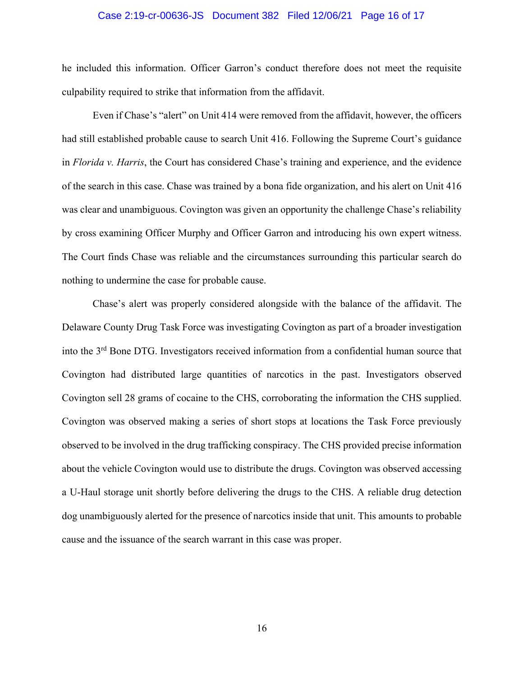#### Case 2:19-cr-00636-JS Document 382 Filed 12/06/21 Page 16 of 17

he included this information. Officer Garron's conduct therefore does not meet the requisite culpability required to strike that information from the affidavit.

Even if Chase's "alert" on Unit 414 were removed from the affidavit, however, the officers had still established probable cause to search Unit 416. Following the Supreme Court's guidance in *Florida v. Harris*, the Court has considered Chase's training and experience, and the evidence of the search in this case. Chase was trained by a bona fide organization, and his alert on Unit 416 was clear and unambiguous. Covington was given an opportunity the challenge Chase's reliability by cross examining Officer Murphy and Officer Garron and introducing his own expert witness. The Court finds Chase was reliable and the circumstances surrounding this particular search do nothing to undermine the case for probable cause.

Chase's alert was properly considered alongside with the balance of the affidavit. The Delaware County Drug Task Force was investigating Covington as part of a broader investigation into the 3rd Bone DTG. Investigators received information from a confidential human source that Covington had distributed large quantities of narcotics in the past. Investigators observed Covington sell 28 grams of cocaine to the CHS, corroborating the information the CHS supplied. Covington was observed making a series of short stops at locations the Task Force previously observed to be involved in the drug trafficking conspiracy. The CHS provided precise information about the vehicle Covington would use to distribute the drugs. Covington was observed accessing a U-Haul storage unit shortly before delivering the drugs to the CHS. A reliable drug detection dog unambiguously alerted for the presence of narcotics inside that unit. This amounts to probable cause and the issuance of the search warrant in this case was proper.